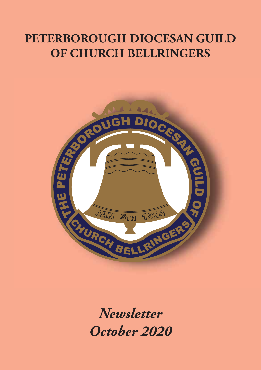## **PETERBOROUGH DIOCESAN GUILD OF CHURCH BELLRINGERS**



*Newsletter October 2020*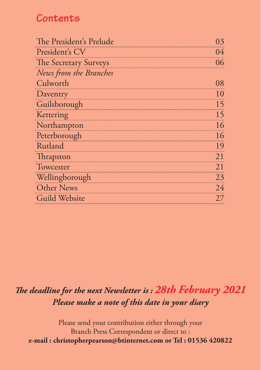### **Contents**

| The President's Prelude | 03 |
|-------------------------|----|
| President's CV          | 04 |
| The Secretary Surveys   | 06 |
| News from the Branches  |    |
| Culworth                | 08 |
| Daventry                | 10 |
| Guilsborough            | 15 |
| Kettering               | 15 |
| Northampton             | 16 |
| Peterborough            | 16 |
| Rutland                 | 19 |
| <b>Thrapston</b>        | 21 |
| Towcester               | 21 |
| Wellingborough          | 23 |
| <b>Other News</b>       | 24 |
| <b>Guild Website</b>    | 27 |
|                         |    |

### *The deadline for the next Newsletter is : 28th February 2021 Please make a note of this date in your diary*

Please send your contribution either through your Branch Press Correspondent or direct to : **e-mail : christopherpearson@btinternet.com or Tel : 01536 420822**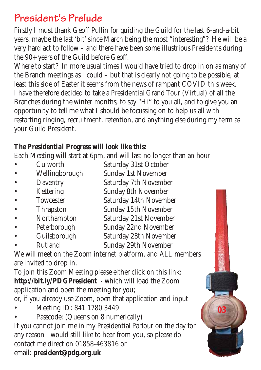## **President's Prelude**

Firstly I must thank Geoff Pullin for guiding the Guild for the last 6-and-a-bit years, maybe the last 'bit' since March being the most "interesting"? He will be a very hard act to follow – and there have been some illustrious Presidents during the 90+ years of the Guild before Geoff.

Where to start? In more usual times I would have tried to drop in on as many of the Branch meetings as I could – but that is clearly not going to be possible, at least this side of Easter it seems from the news of rampant COVID this week. I have therefore decided to take a Presidential Grand Tour (Virtual) of all the Branches during the winter months, to say "Hi" to you all, and to give you an opportunity to tell me what I should be focussing on to help us all with restarting ringing, recruitment, retention, and anything else during my term as your Guild President.

### *The Presidential Progress will look like this:*

Each Meeting will start at 6pm, and will last no longer than an hour

- Culworth Saturday 31st October • Wellingborough Sunday 1st November
- Daventry Saturday 7th November
- Kettering Sunday 8th November
- Saturday 14th November
- Thrapston Sunday 15th November
- Northampton Saturday 21st November
- Peterborough Sunday 22nd November
- Guilsborough Saturday 28th November
- Rutland Sunday 29th November

We will meet on the Zoom internet platform, and ALL members are invited to drop in.

To join this Zoom Meeting please either click on this link: **http://bit.ly/PDGPresident** - which will load the Zoom application and open the meeting for you; or, if you already use Zoom, open that application and input

• Meeting ID: 841 1780 3449

• Passcode: (Queens on 8 numerically)

If you cannot join me in my Presidential Parlour on the day for any reason I would still like to hear from you, so please do contact me direct on 01858-463816 or email: **president@pdg.org.uk**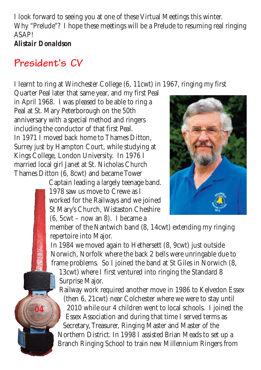I look forward to seeing you at one of these Virtual Meetings this winter. Why "Prelude"? I hope these meetings will be a Prelude to resuming real ringing **ASAPI** *Alistair Donaldson*

### **President's CV**

**04**

I learnt to ring at Winchester College (6, 11cwt) in 1967, ringing my first

Quarter Peal later that same year, and my first Peal in April 1968. I was pleased to be able to ring a Peal at St. Mary Peterborough on the 50th anniversary with a special method and ringers including the conductor of that first Peal. In 1971 I moved back home to Thames Ditton, Surrey just by Hampton Court, while studying at Kings College, London University. In 1976 I married local girl Janet at St. Nicholas Church Thames Ditton (6, 8cwt) and became Tower

Captain leading a largely teenage band. 1978 saw us move to Crewe as I worked for the Railways and we joined St Mary's Church, Wistaston Cheshire (6, 5cwt – now an 8). I became a



member of the Nantwich band (8, 14cwt) extending my ringing repertoire into Major.

In 1984 we moved again to Hethersett (8, 9cwt) just outside Norwich, Norfolk where the back 2 bells were unringable due to frame problems. So I joined the band at St Giles in Norwich (8,

13cwt) where I first ventured into ringing the Standard 8 Surprise Major.

Railway work required another move in 1986 to Kelvedon Essex (then 6, 21cwt) near Colchester where we were to stay until 2010 while our 4 children went to local schools. I joined the Essex Association and during that time I served terms as Secretary, Treasurer, Ringing Master and Master of the Northern District. In 1998 I assisted Brian Meads to set up a Branch Ringing School to train new Millennium Ringers from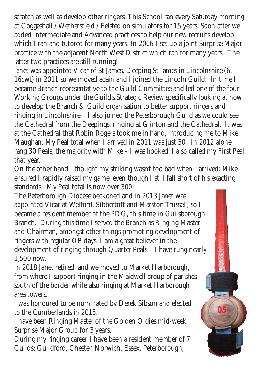scratch as well as develop other ringers. This School ran every Saturday morning at Coggeshall / Wethersfield / Felsted on simulators for 15 years! Soon after we added Intermediate and Advanced practices to help our new recruits develop which I ran and tutored for many years. In 2006 I set up a joint Surprise Major practice with the adjacent North West District which ran for many years. The latter two practices are still running!

Janet was appointed Vicar of St James, Deeping St James in Lincolnshire (6, 16cwt) in 2011 so we moved again and I joined the Lincoln Guild. In time I became Branch representative to the Guild Committee and led one of the four Working Groups under the Guild's Strategic Review specifically looking at how to develop the Branch & Guild organisation to better support ringers and ringing in Lincolnshire. I also joined the Peterborough Guild as we could see the Cathedral from the Deepings, ringing at Glinton and the Cathedral. It was at the Cathedral that Robin Rogers took me in hand, introducing me to Mike Maughan. My Peal total when I arrived in 2011 was just 30. In 2012 alone I rang 30 Peals, the majority with Mike – I was hooked! I also called my First Peal that year.

On the other hand I thought my striking wasn't too bad when I arrived: Mike ensured I rapidly raised my game, even though I still fall short of his exacting standards. My Peal total is now over 300.

The Peterborough Diocese beckoned and in 2013 Janet was appointed Vicar at Welford, Sibbertoft and Marston Trussell, so I became a resident member of the PDG, this time in Guilsborough Branch. During this time I served the Branch as Ringing Master and Chairman, amongst other things promoting development of ringers with regular QP days. I am a great believer in the development of ringing through Quarter Peals – I have rung nearly 1,500 now.

In 2018 Janet retired, and we moved to Market Harborough, from where I support ringing in the Maidwell group of parishes south of the border while also ringing at Market Harborough area towers.

I was honoured to be nominated by Derek Sibson and elected to the Cumberlands in 2015.

**05**

I have been Ringing Master of the Golden Oldies mid-week Surprise Major Group for 3 years.

During my ringing career I have been a resident member of 7 Guilds: Guildford, Chester, Norwich, Essex, Peterborough,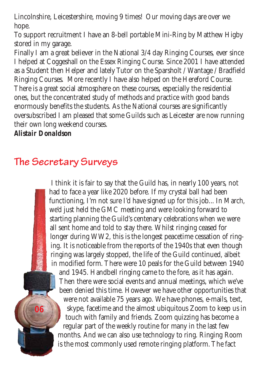Lincolnshire, Leicestershire, moving 9 times! Our moving days are over we hope.

To support recruitment I have an 8-bell portable Mini-Ring by Matthew Higby stored in my garage.

Finally I am a great believer in the National 3/4 day Ringing Courses, ever since I helped at Coggeshall on the Essex Ringing Course. Since 2001 I have attended as a Student then Helper and lately Tutor on the Sparsholt / Wantage / Bradfield Ringing Courses. More recently I have also helped on the Hereford Course. There is a great social atmosphere on these courses, especially the residential ones, but the concentrated study of methods and practice with good bands enormously benefits the students. As the National courses are significantly oversubscribed I am pleased that some Guilds such as Leicester are now running their own long weekend courses.

#### *Alistair Donaldson*

**06**

## **The Secretary Surveys**

I think it is fair to say that the Guild has, in nearly 100 years, not had to face a year like 2020 before. If my crystal ball had been functioning, I'm not sure I'd have signed up for this job... In March, we'd just held the GMC meeting and were looking forward to starting planning the Guild's centenary celebrations when we were all sent home and told to stay there. Whilst ringing ceased for longer during WW2, this is the longest peacetime cessation of ringing. It is noticeable from the reports of the 1940s that even though ringing was largely stopped, the life of the Guild continued, albeit in modified form. There were 10 peals for the Guild between 1940 and 1945. Handbell ringing came to the fore, as it has again. Then there were social events and annual meetings, which we've been denied this time. However we have other opportunities that were not available 75 years ago. We have phones, e-mails, text, skype, facetime and the almost ubiquitous Zoom to keep us in touch with family and friends. Zoom quizzing has become a regular part of the weekly routine for many in the last few months. And we can also use technology to ring. Ringing Room is the most commonly used remote ringing platform. The fact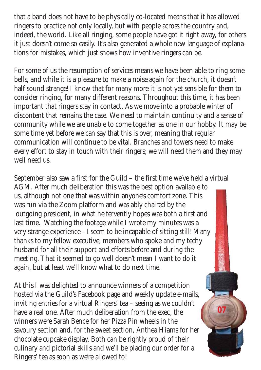that a band does not have to be physically co-located means that it has allowed ringers to practice not only locally, but with people across the country and, indeed, the world. Like all ringing, some people have got it right away, for others it just doesn't come so easily. It's also generated a whole new language of explanations for mistakes, which just shows how inventive ringers can be.

For some of us the resumption of services means we have been able to ring some bells, and while it is a pleasure to make a noise again for the church, it doesn't half sound strange! I know that for many more it is not yet sensible for them to consider ringing, for many different reasons. Throughout this time, it has been important that ringers stay in contact. As we move into a probable winter of discontent that remains the case. We need to maintain continuity and a sense of community while we are unable to come together as one in our hobby. It may be some time yet before we can say that this is over, meaning that regular communication will continue to be vital. Branches and towers need to make every effort to stay in touch with their ringers; we will need them and they may well need us.

September also saw a first for the Guild – the first time we've held a virtual AGM. After much deliberation this was the best option available to us, although not one that was within anyone's comfort zone. This was run via the Zoom platform and was ably chaired by the outgoing president, in what he fervently hopes was both a first and last time. Watching the footage while I wrote my minutes was a very strange experience - I seem to be incapable of sitting still! Many thanks to my fellow executive, members who spoke and my techy husband for all their support and efforts before and during the meeting. That it seemed to go well doesn't mean I want to do it again, but at least we'll know what to do next time.

At this I was delighted to announce winners of a competition hosted via the Guild's Facebook page and weekly update e-mails, inviting entries for a virtual Ringers' tea – seeing as we couldn't have a real one. After much deliberation from the exec, the winners were Sarah Bence for her Pizza Pin wheels in the savoury section and, for the sweet section, Anthea Hiams for her chocolate cupcake display. Both can be rightly proud of their culinary and pictorial skills and we'll be placing our order for a Ringers' tea as soon as we're allowed to!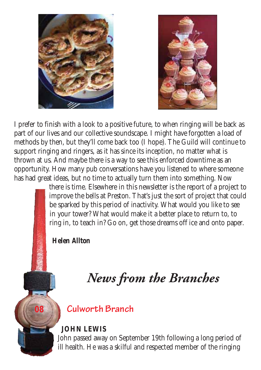



I prefer to finish with a look to a positive future, to when ringing will be back as part of our lives and our collective soundscape. I might have forgotten a load of methods by then, but they'll come back too (I hope). The Guild will continue to support ringing and ringers, as it has since its inception, no matter what is thrown at us. And maybe there is a way to see this enforced downtime as an opportunity. How many pub conversations have you listened to where someone has had great ideas, but no time to actually turn them into something. Now

> there is time. Elsewhere in this newsletter is the report of a project to improve the bells at Preston. That's just the sort of project that could be sparked by this period of inactivity. What would you like to see in your tower? What would make it a better place to return to, to ring in, to teach in? Go on, get those dreams off ice and onto paper.

*Helen Allton*

**08**

# *News from the Branches*

### **Culworth Branch**

### **JOHN LEWIS**

John passed away on September 19th following a long period of ill health. He was a skilful and respected member of the ringing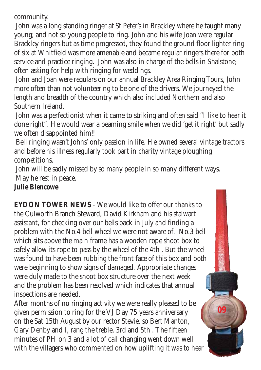community.

John was a long standing ringer at St Peter's in Brackley where he taught many young; and not so young people to ring. John and his wife Joan were regular Brackley ringers but as time progressed, they found the ground floor lighter ring of six at Whitfield was more amenable and became regular ringers there for both service and practice ringing. John was also in charge of the bells in Shalstone, often asking for help with ringing for weddings.

John and Joan were regulars on our annual Brackley Area Ringing Tours, John more often than not volunteering to be one of the drivers. We journeyed the length and breadth of the country which also included Northern and also Southern Ireland.

John was a perfectionist when it came to striking and often said "I like to hear it done right". He would wear a beaming smile when we did 'get it right' but sadly we often disappointed him!!

Bell ringing wasn't Johns' only passion in life. He owned several vintage tractors and before his illness regularly took part in charity vintage ploughing competitions.

John will be sadly missed by so many people in so many different ways. May he rest in peace.

#### *Julie Blencowe*

**EYDON TOWER NEWS** - We would like to offer our thanks to the Culworth Branch Steward, David Kirkham and his stalwart assistant, for checking over our bells back in July and finding a problem with the No.4 bell wheel we were not aware of. No.3 bell which sits above the main frame has a wooden rope shoot box to safely allow its rope to pass by the wheel of the 4th . But the wheel was found to have been rubbing the front face of this box and both were beginning to show signs of damaged. Appropriate changes were duly made to the shoot box structure over the next week and the problem has been resolved which indicates that annual inspections are needed.

After months of no ringing activity we were really pleased to be given permission to ring for the VJ Day 75 years anniversary on the Sat 15th August by our rector Stevie, so Bert Manton, Gary Denby and I, rang the treble, 3rd and 5th . The fifteen minutes of PH on 3 and a lot of call changing went down well with the villagers who commented on how uplifting it was to hear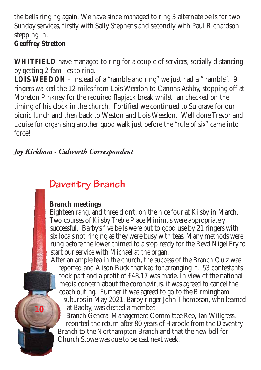the bells ringing again. We have since managed to ring 3 alternate bells for two Sunday services, firstly with Sally Stephens and secondly with Paul Richardson stepping in.

#### *Geoffrey Stretton*

**10**

**WHITFIELD** have managed to ring for a couple of services, socially distancing by getting 2 families to ring.

**LOIS WEEDON** – instead of a "ramble and ring" we just had a " ramble". 9 ringers walked the 12 miles from Lois Weedon to Canons Ashby, stopping off at Moreton Pinkney for the required flapjack break whilst Ian checked on the timing of his clock in the church. Fortified we continued to Sulgrave for our picnic lunch and then back to Weston and Lois Weedon. Well done Trevor and Louise for organising another good walk just before the "rule of six" came into force!

### *Joy Kirkham - Culworth Correspondent*

## **Daventry Branch**

### **Branch meetings**

Eighteen rang, and three didn't, on the nice four at Kilsby in March. Two courses of Kilsby Treble Place Minimus were appropriately successful. Barby's five bells were put to good use by 21 ringers with six locals not ringing as they were busy with teas. Many methods were rung before the lower chimed to a stop ready for the Revd Nigel Fry to start our service with Michael at the organ.

After an ample tea in the church, the success of the Branch Quiz was reported and Alison Buck thanked for arranging it. 53 contestants took part and a profit of £48.17 was made. In view of the national media concern about the coronavirus, it was agreed to cancel the coach outing. Further it was agreed to go to the Birmingham suburbs in May 2021. Barby ringer John Thompson, who learned at Badby, was elected a member.

Branch General Management Committee Rep, Ian Willgress, reported the return after 80 years of Harpole from the Daventry Branch to the Northampton Branch and that the new bell for Church Stowe was due to be cast next week.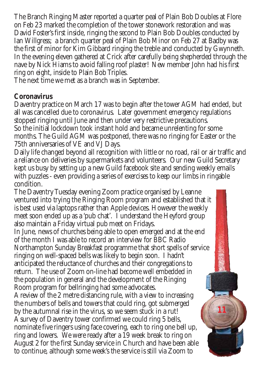The Branch Ringing Master reported a quarter peal of Plain Bob Doubles at Flore on Feb 23 marked the completion of the tower stonework restoration and was David Foster's first inside, ringing the second to Plain Bob Doubles conducted by Ian Willgress; a branch quarter peal of Plain Bob Minor on Feb 27 at Badby was the first of minor for Kim Gibbard ringing the treble and conducted by Gwynneth. In the evening eleven gathered at Crick after carefully being shepherded through the nave by Nick Hiams to avoid falling roof plaster! New member John had his first ring on eight, inside to Plain Bob Triples.

The next time we met as a branch was in September.

#### **Coronavirus**

Daventry practice on March 17 was to begin after the tower AGM had ended, but all was cancelled due to coronavirus. Later government emergency regulations stopped ringing until June and then under very restrictive precautions.

So the initial lockdown took instant hold and became unrelenting for some months. The Guild AGM was postponed, there was no ringing for Easter or the 75th anniversaries of VE and VJ Days.

Daily life changed beyond all recognition with little or no road, rail or air traffic and a reliance on deliveries by supermarkets and volunteers. Our new Guild Secretary kept us busy by setting up a new Guild facebook site and sending weekly emails with puzzles - even providing a series of exercises to keep our limbs in ringable condition.

The Daventry Tuesday evening Zoom practice organised by Leanne ventured into trying the Ringing Room program and established that it is best used via laptops rather than Apple devices. However the weekly meet soon ended up as a 'pub chat'. I understand the Heyford group also maintain a Friday virtual pub meet on Fridays.

In June, news of churches being able to open emerged and at the end of the month I was able to record an interview for BBC Radio Northampton Sunday Breakfast programme that short spells of service ringing on well-spaced bells was likely to begin soon. I hadn't anticipated the reluctance of churches and their congregations to return. The use of Zoom on-line had become well embedded in the population in general and the development of the Ringing Room program for bellringing had some advocates.

A review of the 2 metre distancing rule, with a view to increasing the numbers of bells and towers that could ring, got submerged by the autumnal rise in the virus, so we seem stuck in a rut! A survey of Daventry tower confirmed we could ring 5 bells, nominate five ringers using face covering, each to ring one bell up, ring and lowers. We were ready after a 19 week break to ring on August 2 for the first Sunday service in Church and have been able to continue, although some week's the service is still via Zoom to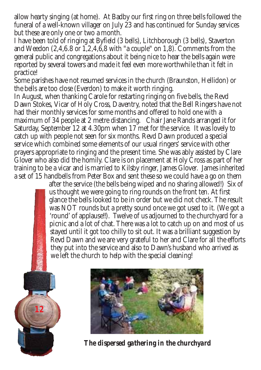allow hearty singing (at home). At Badby our first ring on three bells followed the funeral of a well-known villager on July 23 and has continued for Sunday services but these are only one or two a month.

I have been told of ringing at Byfield (3 bells), Litchborough (3 bells), Staverton and Weedon (2,4,6.8 or 1,2,4,6,8 with "a couple" on 1,8). Comments from the general public and congregations about it being nice to hear the bells again were reported by several towers and made it feel even more worthwhile than it felt in practice!

Some parishes have not resumed services in the church (Braunston, Hellidon) or the bells are too close (Everdon) to make it worth ringing.

In August, when thanking Carole for restarting ringing on five bells, the Revd Dawn Stokes, Vicar of Holy Cross, Daventry, noted that the Bell Ringers have not had their monthly services for some months and offered to hold one with a maximum of 34 people at 2 metre distancing. Chair Jane Rands arranged it for Saturday, September 12 at 4.30pm when 17 met for the service. It was lovely to catch up with people not seen for six months. Revd Dawn produced a special service which combined some elements of our usual ringers' service with other prayers appropriate to ringing and the present time. She was ably assisted by Clare Glover who also did the homily. Clare is on placement at Holy Cross as part of her training to be a vicar and is married to Kilsby ringer, James Glover. James inherited a set of 15 handbells from Peter Box and sent these so we could have a go on them

after the service (the bells being wiped and no sharing allowed!) Six of us thought we were going to ring rounds on the front ten. At first glance the bells looked to be in order but we did not check. The result was NOT rounds but a pretty sound once we got used to it. (We got a 'round' of applause!!). Twelve of us adjourned to the churchyard for a picnic and a lot of chat. There was a lot to catch up on and most of us stayed until it got too chilly to sit out. It was a brilliant suggestion by Revd Dawn and we are very grateful to her and Clare for all the efforts they put into the service and also to Dawn's husband who arrived as we left the church to help with the special cleaning!



*The dispersed gathering in the churchyard*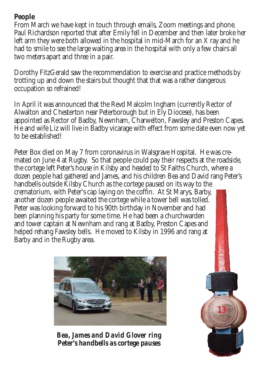#### **People**

From March we have kept in touch through emails, Zoom meetings and phone. Paul Richardson reported that after Emily fell in December and then later broke her left arm they were both allowed in the hospital in mid-March for an X ray and he had to smile to see the large waiting area in the hospital with only a few chairs all two meters apart and three in a pair.

Dorothy FitzGerald saw the recommendation to exercise and practice methods by trotting up and down the stairs but thought that that was a rather dangerous occupation so refrained!

In April it was announced that the Revd Malcolm Ingham (currently Rector of Alwalton and Chesterton near Peterborough but in Ely Diocese), has been appointed as Rector of Badby, Newnham, Charwelton, Fawsley and Preston Capes. He and wife Liz will live in Badby vicarage with effect from some date even now yet to be established!

Peter Box died on May 7 from coronavirus in Walsgrave Hospital. He was cremated on June 4 at Rugby. So that people could pay their respects at the roadside, the cortege left Peter's house in Kilsby and headed to St Faiths Church, where a dozen people had gathered and James, and his children Bea and David rang Peter's handbells outside Kilsby Church as the cortege paused on its way to the crematorium, with Peter's cap laying on the coffin. At St Marys, Barby, another dozen people awaited the cortege while a tower bell was tolled. Peter was looking forward to his 90th birthday in November and had been planning his party for some time. He had been a churchwarden and tower captain at Newnham and rang at Badby, Preston Capes and helped rehang Fawsley bells. He moved to Kilsby in 1996 and rang at Barby and in the Rugby area.



*Bea, James and David Glover ring Peter's handbells as cortege pauses*

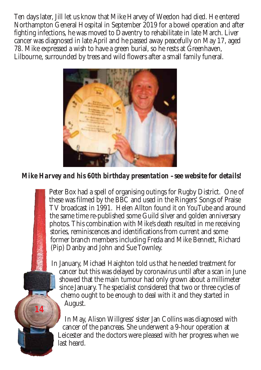Ten days later, Jill let us know that Mike Harvey of Weedon had died. He entered Northampton General Hospital in September 2019 for a bowel operation and after fighting infections, he was moved to Daventry to rehabilitate in late March. Liver cancer was diagnosed in late April and he passed away peacefully on May 17, aged 78. Mike expressed a wish to have a green burial, so he rests at Greenhaven, Lilbourne, surrounded by trees and wild flowers after a small family funeral.



*Mike Harvey and his 60th birthday presentation –see website for details!*

Peter Box had a spell of organising outings for Rugby District. One of these was filmed by the BBC and used in the Ringers' Songs of Praise TV broadcast in 1991. Helen Allton found it on YouTube and around the same time re-published some Guild silver and golden anniversary photos. This combination with Mike's death resulted in me receiving stories, reminiscences and identifications from current and some former branch members including Freda and Mike Bennett, Richard (Pip) Danby and John and Sue Townley.

In January, Michael Haighton told us that he needed treatment for cancer but this was delayed by coronavirus until after a scan in June showed that the main tumour had only grown about a millimeter since January. The specialist considered that two or three cycles of chemo ought to be enough to deal with it and they started in August.

In May, Alison Willgress' sister Jan Collins was diagnosed with cancer of the pancreas. She underwent a 9-hour operation at Leicester and the doctors were pleased with her progress when we last heard.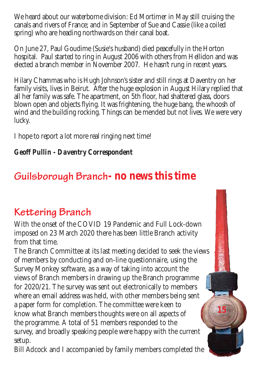We heard about our waterborne division: Ed Mortimer in May still cruising the canals and rivers of France; and in September of Sue and Cassie (like a coiled spring) who are heading northwards on their canal boat.

On June 27, Paul Goudime (Susie's husband) died peacefully in the Horton hospital. Paul started to ring in August 2006 with others from Hellidon and was elected a branch member in November 2007. He hasn't rung in recent years.

Hilary Chammas who is Hugh Johnson's sister and still rings at Daventry on her family visits, lives in Beirut. After the huge explosion in August Hilary replied that all her family was safe. The apartment, on 5th floor, had shattered glass, doors blown open and objects flying. It was frightening, the huge bang, the whoosh of wind and the building rocking. Things can be mended but not lives. We were very lucky.

I hope to report a lot more real ringing next time!

### *Geoff Pullin - Daventry Correspondent*

## **Guilsborough Branch- no news this time**

## **Kettering Branch**

With the onset of the COVID 19 Pandemic and Full Lock-down imposed on 23 March 2020 there has been little Branch activity from that time.

The Branch Committee at its last meeting decided to seek the views of members by conducting and on-line questionnaire, using the Survey Monkey software, as a way of taking into account the views of Branch members in drawing up the Branch programme for 2020/21. The survey was sent out electronically to members where an email address was held, with other members being sent a paper form for completion. The committee were keen to know what Branch members thoughts were on all aspects of the programme. A total of 51 members responded to the survey, and broadly speaking people were happy with the current setup.

**15**

Bill Adcock and I accompanied by family members completed the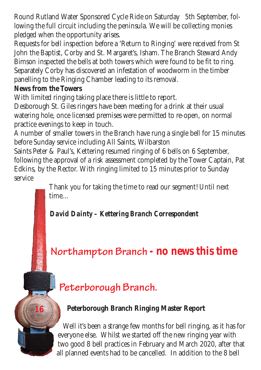Round Rutland Water Sponsored Cycle Ride on Saturday 5th September, following the full circuit including the peninsula. We will be collecting monies pledged when the opportunity arises.

Requests for bell inspection before a 'Return to Ringing' were received from St John the Baptist, Corby and St. Margaret's, Isham. The Branch Steward Andy Bimson inspected the bells at both towers which were found to be fit to ring. Separately Corby has discovered an infestation of woodworm in the timber panelling to the Ringing Chamber leading to its removal.

### **News from the Towers**

**16**

With limited ringing taking place there is little to report.

Desborough St. Giles ringers have been meeting for a drink at their usual watering hole, once licensed premises were permitted to re-open, on normal practice evenings to keep in touch.

A number of smaller towers in the Branch have rung a single bell for 15 minutes before Sunday service including All Saints, Wilbarston

Saints Peter & Paul's, Kettering resumed ringing of 6 bells on 6 September, following the approval of a risk assessment completed by the Tower Captain, Pat Edkins, by the Rector. With ringing limited to 15 minutes prior to Sunday service

Thank you for taking the time to read our segment! Until next time…

### *David Dainty – Kettering Branch Correspondent*

## **Northampton Branch - no news this time**

## **Peterborough Branch.**

### **Peterborough Branch Ringing Master Report**

Well it's been a strange few months for bell ringing, as it has for everyone else. Whilst we started off the new ringing year with two good 8 bell practices in February and March 2020, after that all planned events had to be cancelled. In addition to the 8 bell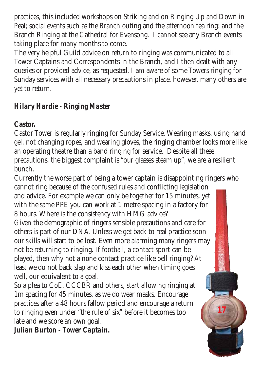practices, this included workshops on Striking and on Ringing Up and Down in Peal; social events such as the Branch outing and the afternoon tea ring: and the Branch Ringing at the Cathedral for Evensong. I cannot see any Branch events taking place for many months to come.

The very helpful Guild advice on return to ringing was communicated to all Tower Captains and Correspondents in the Branch, and I then dealt with any queries or provided advice, as requested. I am aware of some Towers ringing for Sunday services with all necessary precautions in place, however, many others are yet to return.

### *Hilary Hardie - Ringing Master*

### **Castor.**

Castor Tower is regularly ringing for Sunday Service. Wearing masks, using hand gel, not changing ropes, and wearing gloves, the ringing chamber looks more like an operating theatre than a band ringing for service. Despite all these precautions, the biggest complaint is "our glasses steam up", we are a resilient bunch.

Currently the worse part of being a tower captain is disappointing ringers who cannot ring because of the confused rules and conflicting legislation and advice. For example we can only be together for 15 minutes, yet with the same PPE you can work at 1 metre spacing in a factory for

8 hours. Where is the consistency with HMG advice?

Given the demographic of ringers sensible precautions and care for others is part of our DNA. Unless we get back to real practice soon our skills will start to be lost. Even more alarming many ringers may not be returning to ringing. If football, a contact sport can be played, then why not a none contact practice like bell ringing? At least we do not back slap and kiss each other when timing goes well, our equivalent to a goal.

So a plea to CoE, CCCBR and others, start allowing ringing at 1m spacing for 45 minutes, as we do wear masks. Encourage practices after a 48 hours fallow period and encourage a return to ringing even under "the rule of six" before it becomes too late and we score an own goal.

**17**

*Julian Burton - Tower Captain.*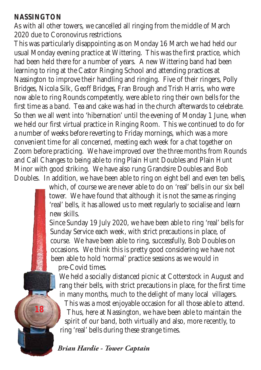#### **NASSINGTON**

**18**

As with all other towers, we cancelled all ringing from the middle of March 2020 due to Coronovirus restrictions.

This was particularly disappointing as on Monday 16 March we had held our usual Monday evening practice at Wittering. This was the first practice, which had been held there for a number of years. A new Wittering band had been learning to ring at the Castor Ringing School and attending practices at Nassington to improve their handling and ringing. Five of their ringers, Polly Bridges, Nicola Silk, Geoff Bridges, Fran Brough and Trish Harris, who were now able to ring Rounds competently, were able to ring their own bells for the first time as a band. Tea and cake was had in the church afterwards to celebrate. So then we all went into 'hibernation' until the evening of Monday 1 June, when we held our first virtual practice in Ringing Room. This we continued to do for a number of weeks before reverting to Friday mornings, which was a more convenient time for all concerned, meeting each week for a chat together on Zoom before practicing. We have improved over the three months from Rounds and Call Changes to being able to ring Plain Hunt Doubles and Plain Hunt Minor with good striking. We have also rung Grandsire Doubles and Bob Doubles. In addition, we have been able to ring on eight bell and even ten bells,

> which, of course we are never able to do on 'real' bells in our six bell tower. We have found that although it is not the same as ringing 'real' bells, it has allowed us to meet regularly to socialise and learn new skills.

> Since Sunday 19 July 2020, we have been able to ring 'real' bells for Sunday Service each week, with strict precautions in place, of course. We have been able to ring, successfully, Bob Doubles on occasions. We think this is pretty good considering we have not been able to hold 'normal' practice sessions as we would in pre-Covid times.

We held a socially distanced picnic at Cotterstock in August and rang their bells, with strict precautions in place, for the first time in many months, much to the delight of many local villagers.

This was a most enjoyable occasion for all those able to attend. Thus, here at Nassington, we have been able to maintain the spirit of our band, both virtually and also, more recently, to ring 'real' bells during these strange times.

#### *Brian Hardie - Tower Captain*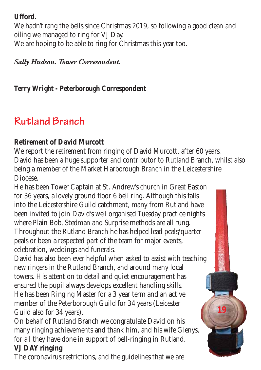### **Ufford.**

We hadn't rang the bells since Christmas 2019, so following a good clean and oiling we managed to ring for VJ Day. We are hoping to be able to ring for Christmas this year too.

*Sally Hudson. Tower Corresondent.*

*Terry Wright - Peterborough Correspondent*

## **Rutland Branch**

### **Retirement of David Murcott**

We report the retirement from ringing of David Murcott, after 60 years. David has been a huge supporter and contributor to Rutland Branch, whilst also being a member of the Market Harborough Branch in the Leicestershire Diocese.

He has been Tower Captain at St. Andrew's church in Great Easton for 36 years, a lovely ground floor 6 bell ring. Although this falls into the Leicestershire Guild catchment, many from Rutland have been invited to join David's well organised Tuesday practice nights where Plain Bob, Stedman and Surprise methods are all rung. Throughout the Rutland Branch he has helped lead peals/quarter peals or been a respected part of the team for major events, celebration, weddings and funerals.

David has also been ever helpful when asked to assist with teaching new ringers in the Rutland Branch, and around many local towers. His attention to detail and quiet encouragement has ensured the pupil always develops excellent handling skills. He has been Ringing Master for a 3 year term and an active member of the Peterborough Guild for 34 years (Leicester Guild also for 34 years).

**19**

On behalf of Rutland Branch we congratulate David on his many ringing achievements and thank him, and his wife Glenys, for all they have done in support of bell-ringing in Rutland. **VJ DAY ringing**

The coronavirus restrictions, and the guidelines that we are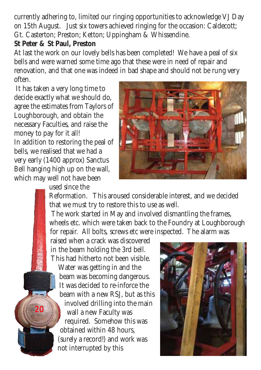currently adhering to, limited our ringing opportunities to acknowledge VJ Day on 15th August. Just six towers achieved ringing for the occasion: Caldecott; Gt. Casterton; Preston; Ketton; Uppingham & Whissendine.

#### **St Peter & St Paul, Preston**

At last the work on our lovely bells has been completed! We have a peal of six bells and were warned some time ago that these were in need of repair and renovation, and that one was indeed in bad shape and should not be rung very often.

It has taken a very long time to decide exactly what we should do, agree the estimates from Taylors of Loughborough, and obtain the necessary Faculties, and raise the money to pay for it all! In addition to restoring the peal of bells, we realised that we had a very early (1400 approx) Sanctus Bell hanging high up on the wall, which may well not have been

used since the

**20**



Reformation. This aroused considerable interest, and we decided that we must try to restore this to use as well.

The work started in May and involved dismantling the frames, wheels etc. which were taken back to the Foundry at Loughborough for repair. All bolts, screws etc were inspected. The alarm was

raised when a crack was discovered in the beam holding the 3rd bell. This had hitherto not been visible.

Water was getting in and the beam was becoming dangerous. It was decided to re-inforce the beam with a new RSJ, but as this involved drilling into the main wall a new Faculty was required. Somehow this was obtained within 48 hours, (surely a record!) and work was not interrupted by this

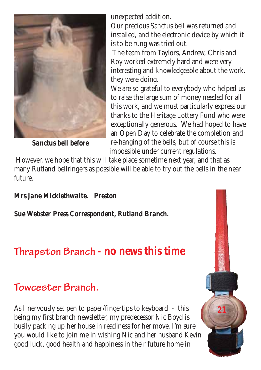

*Sanctus bell before*

unexpected addition.

Our precious Sanctus bell was returned and installed, and the electronic device by which it is to be rung was tried out.

The team from Taylors, Andrew, Chris and Roy worked extremely hard and were very interesting and knowledgeable about the work. they were doing.

We are so grateful to everybody who helped us to raise the large sum of money needed for all this work, and we must particularly express our thanks to the Heritage Lottery Fund who were exceptionally generous. We had hoped to have an Open Day to celebrate the completion and re-hanging of the bells, but of course this is impossible under current regulations.

However, we hope that this will take place sometime next year, and that as many Rutland bellringers as possible will be able to try out the bells in the near future.

#### *Mrs Jane Micklethwaite. Preston*

*Sue Webster Press Correspondent, Rutland Branch.*

## **Thrapston Branch - no news this time**

### **Towcester Branch.**

As I nervously set pen to paper/fingertips to keyboard - this being my first branch newsletter, my predecessor Nic Boyd is busily packing up her house in readiness for her move. I'm sure you would like to join me in wishing Nic and her husband Kevin good luck, good health and happiness in their future home in

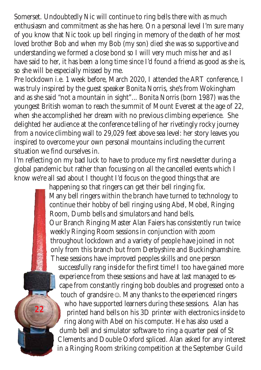Somerset. Undoubtedly Nic will continue to ring bells there with as much enthusiasm and commitment as she has here. On a personal level I'm sure many of you know that Nic took up bell ringing in memory of the death of her most loved brother Bob and when my Bob (my son) died she was so supportive and understanding we formed a close bond so I will very much miss her and as I have said to her, it has been a long time since I'd found a friend as good as she is, so she will be especially missed by me.

Pre lockdown i.e. 1 week before, March 2020, I attended the ART conference, I was truly inspired by the guest speaker Bonita Norris, she's from Wokingham and as she said "not a mountain in sight"... Bonita Norris (born 1987) was the youngest British woman to reach the summit of Mount Everest at the age of 22, when she accomplished her dream with no previous climbing experience. She delighted her audience at the conference telling of her rivetingly rocky journey from a novice climbing wall to 29,029 feet above sea level: her story leaves you inspired to overcome your own personal mountains including the current situation we find ourselves in.

I'm reflecting on my bad luck to have to produce my first newsletter during a global pandemic but rather than focussing on all the cancelled events which I know we're all sad about I thought I'd focus on the good things that are

> happening so that ringers can get their bell ringing fix. Many bell ringers within the branch have turned to technology to continue their hobby of bell ringing using Abel, Mobel, Ringing Room, Dumb bells and simulators and hand bells. Our Branch Ringing Master Alan Faiers has consistently run twice weekly Ringing Room sessions in conjunction with zoom throughout lockdown and a variety of people have joined in not only from this branch but from Derbyshire and Buckinghamshire. These sessions have improved peoples skills and one person

successfully rang inside for the first time! I too have gained more experience from these sessions and have at last managed to escape from constantly ringing bob doubles and progressed onto a touch of grandsire **☺**. Many thanks to the experienced ringers who have supported learners during these sessions. Alan has printed hand bells on his 3D printer with electronics inside to ring along with Abel on his computer. He has also used a dumb bell and simulator software to ring a quarter peal of St Clements and Double Oxford spliced. Alan asked for any interest in a Ringing Room striking competition at the September Guild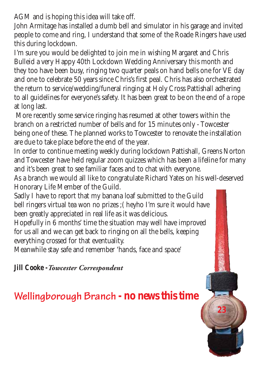AGM and is hoping this idea will take off.

John Armitage has installed a dumb bell and simulator in his garage and invited people to come and ring, I understand that some of the Roade Ringers have used this during lockdown.

I'm sure you would be delighted to join me in wishing Margaret and Chris Bulleid a very Happy 40th Lockdown Wedding Anniversary this month and they too have been busy, ringing two quarter peals on hand bells one for VE day and one to celebrate 50 years since Chris's first peal. Chris has also orchestrated the return to service/wedding/funeral ringing at Holy Cross Pattishall adhering to all guidelines for everyone's safety. It has been great to be on the end of a rope at long last.

More recently some service ringing has resumed at other towers within the branch on a restricted number of bells and for 15 minutes only - Towcester being one of these. The planned works to Towcester to renovate the installation are due to take place before the end of the year.

In order to continue meeting weekly during lockdown Pattishall, Greens Norton and Towcester have held regular zoom quizzes which has been a lifeline for many and it's been great to see familiar faces and to chat with everyone.

As a branch we would all like to congratulate Richard Yates on his well-deserved Honorary Life Member of the Guild.

Sadly I have to report that my banana loaf submitted to the Guild bell ringers virtual tea won no prizes ;( heyho I'm sure it would have been greatly appreciated in real life as it was delicious.

Hopefully in 6 months' time the situation may well have improved for us all and we can get back to ringing on all the bells, keeping everything crossed for that eventuality.

Meanwhile stay safe and remember 'hands, face and space'

*Jill Cooke -Towcester Correspondent*

### **Wellingborough Branch - no news this time**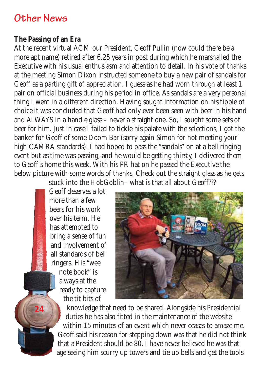### **Other News**

#### **The Passing of an Era**

At the recent virtual AGM our President, Geoff Pullin (now could there be a more apt name) retired after 6.25 years in post during which he marshalled the Executive with his usual enthusiasm and attention to detail. In his vote of thanks at the meeting Simon Dixon instructed someone to buy a new pair of sandals for Geoff as a parting gift of appreciation. I guess as he had worn through at least 1 pair on official business during his period in office. As sandals are a very personal thing I went in a different direction. Having sought information on his tipple of choice it was concluded that Geoff had only ever been seen with beer in his hand and ALWAYS in a handle glass – never a straight one. So, I sought some sets of beer for him. Just in case I failed to tickle his palate with the selections, I got the banker for Geoff of some Doom Bar (sorry again Simon for not meeting your high CAMRA standards). I had hoped to pass the "sandals" on at a bell ringing event but as time was passing, and he would be getting thirsty, I delivered them to Geoff's home this week. With his PR hat on he passed the Executive the below picture with some words of thanks. Check out the straight glass as he gets

stuck into the HobGoblin– what is that all about Geoff???

Geoff deserves a lot more than a few beers for his work over his term. He has attempted to bring a sense of fun and involvement of all standards of bell ringers. His "wee note book" is always at the ready to capture the tit bits of

**24**



knowledge that need to be shared. Alongside his Presidential duties he has also fitted in the maintenance of the website within 15 minutes of an event which never ceases to amaze me. Geoff said his reason for stepping down was that he did not think that a President should be 80. I have never believed he was that age seeing him scurry up towers and tie up bells and get the tools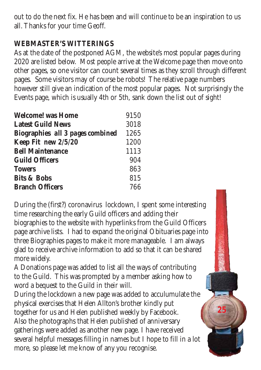out to do the next fix. He has been and will continue to be an inspiration to us all. Thanks for your time Geoff.

### **WEBMASTER'S WITTERINGS**

As at the date of the postponed AGM, the website's most popular pages during 2020 are listed below. Most people arrive at the Welcome page then move onto other pages, so one visitor can count several times as they scroll through different pages. Some visitors may of course be robots! The relative page numbers however still give an indication of the most popular pages. Not surprisingly the Events page, which is usually 4th or 5th, sank down the list out of sight!

| <b>Welcome! was Home</b>                | 9150 |
|-----------------------------------------|------|
| <b>Latest Guild News</b>                | 3018 |
| <b>Biographies</b> all 3 pages combined | 1265 |
| Keep Fit new 2/5/20                     | 1200 |
| <b>Bell Maintenance</b>                 | 1113 |
| <b>Guild Officers</b>                   | 904  |
| <b>Towers</b>                           | 863  |
| <b>Bits &amp; Bobs</b>                  | 815  |
| <b>Branch Officers</b>                  | 766  |

During the (first?) coronavirus lockdown, I spent some interesting time researching the early Guild officers and adding their biographies to the website with hyperlinks from the Guild Officers page archive lists. I had to expand the original Obituaries page into three Biographies pages to make it more manageable. I am always glad to receive archive information to add so that it can be shared more widely.

A Donations page was added to list all the ways of contributing to the Guild. This was prompted by a member asking how to word a bequest to the Guild in their will.

During the lockdown a new page was added to acculumulate the physical exercises that Helen Allton's brother kindly put together for us and Helen published weekly by Facebook. Also the photographs that Helen published of anniversary gatherings were added as another new page. I have received several helpful messages filling in names but I hope to fill in a lot more, so please let me know of any you recognise.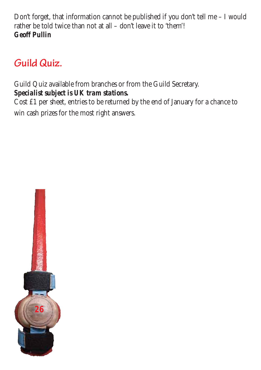Don't forget, that information cannot be published if you don't tell me – I would rather be told twice than not at all – don't leave it to 'them'! *Geoff Pullin*

## **Guild Quiz.**

Guild Quiz available from branches or from the Guild Secretary. *Specialist subject is UK tram stations.*

Cost £1 per sheet, entries to be returned by the end of January for a chance to win cash prizes for the most right answers.